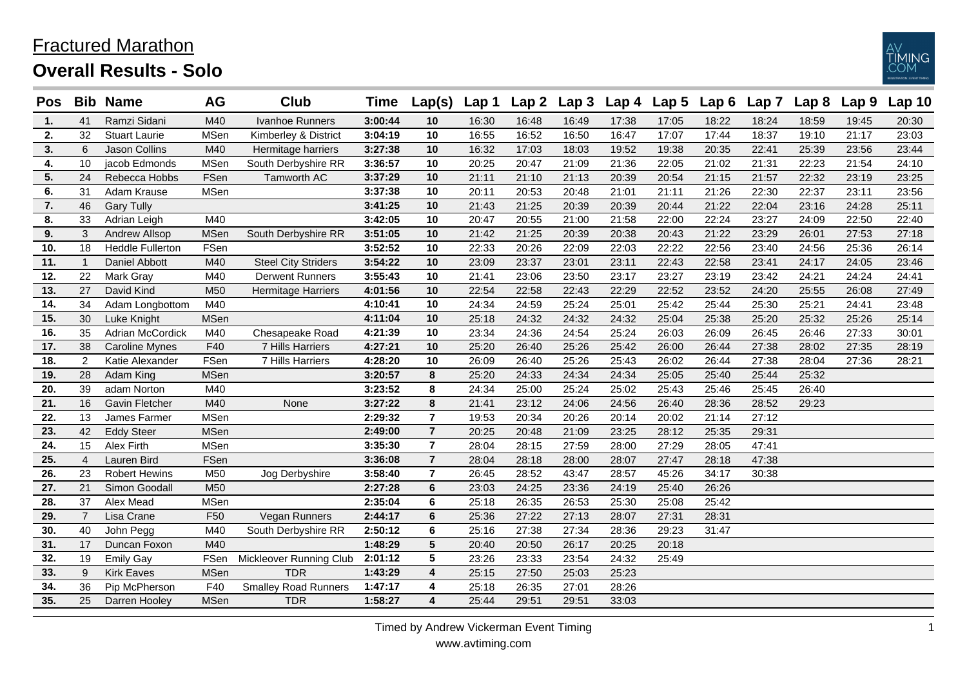## Fractured Marathon





| <b>Pos</b> |                | <b>Bib Name</b>         | AG              | Club                        | Time    | Lap(s)         | Lap 1 | Lap <sub>2</sub> | Lap <sub>3</sub> | Lap 4 | Lap <sub>5</sub> | Lap6  | Lap 7 | Lap <sub>8</sub> | Lap 9 | <b>Lap 10</b> |
|------------|----------------|-------------------------|-----------------|-----------------------------|---------|----------------|-------|------------------|------------------|-------|------------------|-------|-------|------------------|-------|---------------|
| 1.         | 41             | Ramzi Sidani            | M40             | Ivanhoe Runners             | 3:00:44 | 10             | 16:30 | 16:48            | 16:49            | 17:38 | 17:05            | 18:22 | 18:24 | 18:59            | 19:45 | 20:30         |
| 2.         | 32             | <b>Stuart Laurie</b>    | <b>MSen</b>     | Kimberley & District        | 3:04:19 | 10             | 16:55 | 16:52            | 16:50            | 16:47 | 17:07            | 17:44 | 18:37 | 19:10            | 21:17 | 23:03         |
| 3.         | 6              | <b>Jason Collins</b>    | M40             | Hermitage harriers          | 3:27:38 | 10             | 16:32 | 17:03            | 18:03            | 19:52 | 19:38            | 20:35 | 22:41 | 25:39            | 23:56 | 23:44         |
| 4.         | 10             | jacob Edmonds           | <b>MSen</b>     | South Derbyshire RR         | 3:36:57 | 10             | 20:25 | 20:47            | 21:09            | 21:36 | 22:05            | 21:02 | 21:31 | 22:23            | 21:54 | 24:10         |
| 5.         | 24             | Rebecca Hobbs           | FSen            | Tamworth AC                 | 3:37:29 | 10             | 21:11 | 21:10            | 21:13            | 20:39 | 20:54            | 21:15 | 21:57 | 22:32            | 23:19 | 23:25         |
| 6.         | 31             | Adam Krause             | <b>MSen</b>     |                             | 3:37:38 | 10             | 20:11 | 20:53            | 20:48            | 21:01 | 21:11            | 21:26 | 22:30 | 22:37            | 23:11 | 23:56         |
| 7.         | 46             | <b>Gary Tully</b>       |                 |                             | 3:41:25 | 10             | 21:43 | 21:25            | 20:39            | 20:39 | 20:44            | 21:22 | 22:04 | 23:16            | 24:28 | 25:11         |
| 8.         | 33             | Adrian Leigh            | M40             |                             | 3:42:05 | 10             | 20:47 | 20:55            | 21:00            | 21:58 | 22:00            | 22:24 | 23:27 | 24:09            | 22:50 | 22:40         |
| 9.         | 3              | <b>Andrew Allsop</b>    | <b>MSen</b>     | South Derbyshire RR         | 3:51:05 | 10             | 21:42 | 21:25            | 20:39            | 20:38 | 20:43            | 21:22 | 23:29 | 26:01            | 27:53 | 27:18         |
| 10.        | 18             | <b>Heddle Fullerton</b> | FSen            |                             | 3:52:52 | 10             | 22:33 | 20:26            | 22:09            | 22:03 | 22:22            | 22:56 | 23:40 | 24:56            | 25:36 | 26:14         |
| 11.        | $\overline{1}$ | Daniel Abbott           | M40             | <b>Steel City Striders</b>  | 3:54:22 | 10             | 23:09 | 23:37            | 23:01            | 23:11 | 22:43            | 22:58 | 23:41 | 24:17            | 24:05 | 23:46         |
| 12.        | 22             | Mark Gray               | M40             | <b>Derwent Runners</b>      | 3:55:43 | 10             | 21:41 | 23:06            | 23:50            | 23:17 | 23:27            | 23:19 | 23:42 | 24:21            | 24:24 | 24:41         |
| 13.        | 27             | David Kind              | M50             | <b>Hermitage Harriers</b>   | 4:01:56 | 10             | 22:54 | 22:58            | 22:43            | 22:29 | 22:52            | 23:52 | 24:20 | 25:55            | 26:08 | 27:49         |
| 14.        | 34             | Adam Longbottom         | M40             |                             | 4:10:41 | 10             | 24:34 | 24:59            | 25:24            | 25:01 | 25:42            | 25:44 | 25:30 | 25:21            | 24:41 | 23:48         |
| 15.        | 30             | Luke Knight             | <b>MSen</b>     |                             | 4:11:04 | 10             | 25:18 | 24:32            | 24:32            | 24:32 | 25:04            | 25:38 | 25:20 | 25:32            | 25:26 | 25:14         |
| 16.        | 35             | Adrian McCordick        | M40             | Chesapeake Road             | 4:21:39 | 10             | 23:34 | 24:36            | 24:54            | 25:24 | 26:03            | 26:09 | 26:45 | 26:46            | 27:33 | 30:01         |
| 17.        | 38             | <b>Caroline Mynes</b>   | F40             | 7 Hills Harriers            | 4:27:21 | 10             | 25:20 | 26:40            | 25:26            | 25:42 | 26:00            | 26:44 | 27:38 | 28:02            | 27:35 | 28:19         |
| 18.        | $\overline{2}$ | Katie Alexander         | FSen            | 7 Hills Harriers            | 4:28:20 | 10             | 26:09 | 26:40            | 25:26            | 25:43 | 26:02            | 26:44 | 27:38 | 28:04            | 27:36 | 28:21         |
| 19.        | 28             | Adam King               | <b>MSen</b>     |                             | 3:20:57 | 8              | 25:20 | 24:33            | 24:34            | 24:34 | 25:05            | 25:40 | 25:44 | 25:32            |       |               |
| 20.        | 39             | adam Norton             | M40             |                             | 3:23:52 | 8              | 24:34 | 25:00            | 25:24            | 25:02 | 25:43            | 25:46 | 25:45 | 26:40            |       |               |
| 21.        | 16             | <b>Gavin Fletcher</b>   | M40             | None                        | 3:27:22 | 8              | 21:41 | 23:12            | 24:06            | 24:56 | 26:40            | 28:36 | 28:52 | 29:23            |       |               |
| 22.        | 13             | James Farmer            | <b>MSen</b>     |                             | 2:29:32 | $\overline{7}$ | 19:53 | 20:34            | 20:26            | 20:14 | 20:02            | 21:14 | 27:12 |                  |       |               |
| 23.        | 42             | <b>Eddy Steer</b>       | <b>MSen</b>     |                             | 2:49:00 | $\overline{7}$ | 20:25 | 20:48            | 21:09            | 23:25 | 28:12            | 25:35 | 29:31 |                  |       |               |
| 24.        | 15             | Alex Firth              | <b>MSen</b>     |                             | 3:35:30 | $\overline{7}$ | 28:04 | 28:15            | 27:59            | 28:00 | 27:29            | 28:05 | 47:41 |                  |       |               |
| 25.        | $\overline{4}$ | Lauren Bird             | FSen            |                             | 3:36:08 | $\overline{7}$ | 28:04 | 28:18            | 28:00            | 28:07 | 27:47            | 28:18 | 47:38 |                  |       |               |
| 26.        | 23             | Robert Hewins           | M50             | Jog Derbyshire              | 3:58:40 | $\overline{7}$ | 26:45 | 28:52            | 43:47            | 28:57 | 45:26            | 34:17 | 30:38 |                  |       |               |
| 27.        | 21             | Simon Goodall           | M50             |                             | 2:27:28 | 6              | 23:03 | 24:25            | 23:36            | 24:19 | 25:40            | 26:26 |       |                  |       |               |
| 28.        | 37             | Alex Mead               | <b>MSen</b>     |                             | 2:35:04 | 6              | 25:18 | 26:35            | 26:53            | 25:30 | 25:08            | 25:42 |       |                  |       |               |
| 29.        | $\overline{7}$ | Lisa Crane              | F <sub>50</sub> | Vegan Runners               | 2:44:17 | 6              | 25:36 | 27:22            | 27:13            | 28:07 | 27:31            | 28:31 |       |                  |       |               |
| 30.        | 40             | John Pegg               | M40             | South Derbyshire RR         | 2:50:12 | 6              | 25:16 | 27:38            | 27:34            | 28:36 | 29:23            | 31:47 |       |                  |       |               |
| 31.        | 17             | Duncan Foxon            | M40             |                             | 1:48:29 | 5              | 20:40 | 20:50            | 26:17            | 20:25 | 20:18            |       |       |                  |       |               |
| 32.        | 19             | <b>Emily Gay</b>        | FSen            | Mickleover Running Club     | 2:01:12 | 5              | 23:26 | 23:33            | 23:54            | 24:32 | 25:49            |       |       |                  |       |               |
| 33.        | 9              | <b>Kirk Eaves</b>       | <b>MSen</b>     | <b>TDR</b>                  | 1:43:29 | 4              | 25:15 | 27:50            | 25:03            | 25:23 |                  |       |       |                  |       |               |
| 34.        | 36             | Pip McPherson           | F40             | <b>Smalley Road Runners</b> | 1:47:17 | 4              | 25:18 | 26:35            | 27:01            | 28:26 |                  |       |       |                  |       |               |
| 35.        | 25             | Darren Hooley           | <b>MSen</b>     | <b>TDR</b>                  | 1:58:27 | 4              | 25:44 | 29:51            | 29:51            | 33:03 |                  |       |       |                  |       |               |